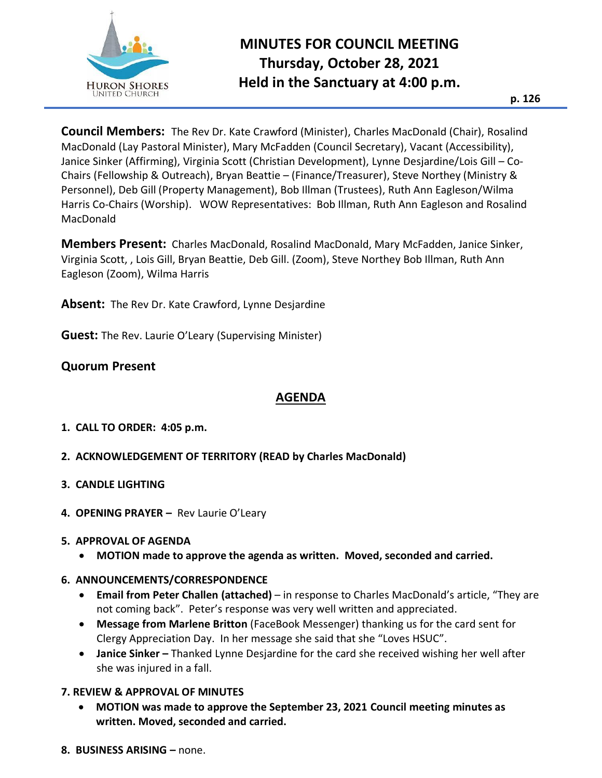

# **MINUTES FOR COUNCIL MEETING Thursday, October 28, 2021 Held in the Sanctuary at 4:00 p.m.**

**Council Members:** The Rev Dr. Kate Crawford (Minister), Charles MacDonald (Chair), Rosalind MacDonald (Lay Pastoral Minister), Mary McFadden (Council Secretary), Vacant (Accessibility), Janice Sinker (Affirming), Virginia Scott (Christian Development), Lynne Desjardine/Lois Gill – Co-Chairs (Fellowship & Outreach), Bryan Beattie – (Finance/Treasurer), Steve Northey (Ministry & Personnel), Deb Gill (Property Management), Bob Illman (Trustees), Ruth Ann Eagleson/Wilma Harris Co-Chairs (Worship). WOW Representatives: Bob Illman, Ruth Ann Eagleson and Rosalind MacDonald

**Members Present:** Charles MacDonald, Rosalind MacDonald, Mary McFadden, Janice Sinker, Virginia Scott, , Lois Gill, Bryan Beattie, Deb Gill. (Zoom), Steve Northey Bob Illman, Ruth Ann Eagleson (Zoom), Wilma Harris

**Absent:** The Rev Dr. Kate Crawford, Lynne Desjardine

**Guest:** The Rev. Laurie O'Leary (Supervising Minister)

## **Quorum Present**

### **AGENDA**

**1. CALL TO ORDER: 4:05 p.m.**

### **2. ACKNOWLEDGEMENT OF TERRITORY (READ by Charles MacDonald)**

- **3. CANDLE LIGHTING**
- **4. OPENING PRAYER –** Rev Laurie O'Leary

#### **5. APPROVAL OF AGENDA**

• **MOTION made to approve the agenda as written. Moved, seconded and carried.**

### **6. ANNOUNCEMENTS/CORRESPONDENCE**

- **Email from Peter Challen (attached)** in response to Charles MacDonald's article, "They are not coming back". Peter's response was very well written and appreciated.
- **Message from Marlene Britton** (FaceBook Messenger) thanking us for the card sent for Clergy Appreciation Day. In her message she said that she "Loves HSUC".
- **Janice Sinker** Thanked Lynne Desjardine for the card she received wishing her well after she was injured in a fall.

### **7. REVIEW & APPROVAL OF MINUTES**

- **MOTION was made to approve the September 23, 2021 Council meeting minutes as written. Moved, seconded and carried.**
- **8. BUSINESS ARISING –** none.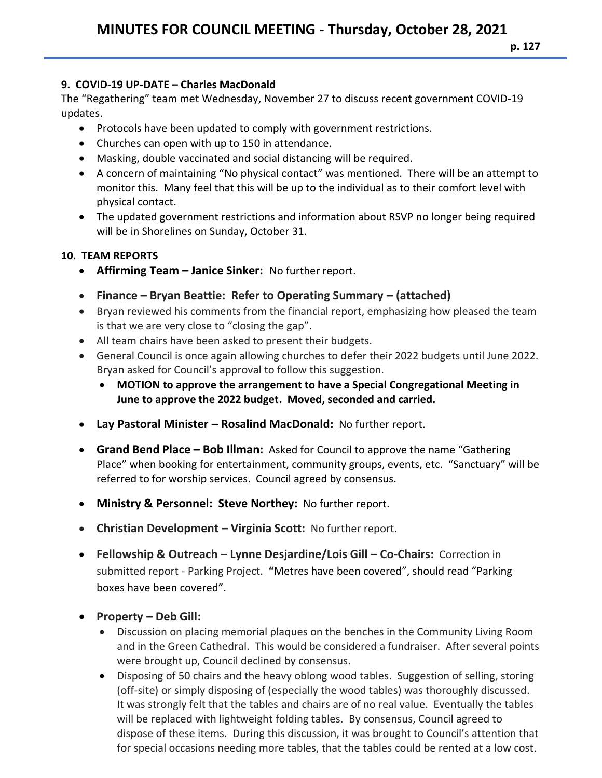## **9. COVID-19 UP-DATE – Charles MacDonald**

The "Regathering" team met Wednesday, November 27 to discuss recent government COVID-19 updates.

- Protocols have been updated to comply with government restrictions.
- Churches can open with up to 150 in attendance.
- Masking, double vaccinated and social distancing will be required.
- A concern of maintaining "No physical contact" was mentioned. There will be an attempt to monitor this. Many feel that this will be up to the individual as to their comfort level with physical contact.
- The updated government restrictions and information about RSVP no longer being required will be in Shorelines on Sunday, October 31.

# **10. TEAM REPORTS**

- **Affirming Team – Janice Sinker:** No further report.
- **Finance – Bryan Beattie: Refer to Operating Summary – (attached)**
- Bryan reviewed his comments from the financial report, emphasizing how pleased the team is that we are very close to "closing the gap".
- All team chairs have been asked to present their budgets.
- General Council is once again allowing churches to defer their 2022 budgets until June 2022. Bryan asked for Council's approval to follow this suggestion.
	- **MOTION to approve the arrangement to have a Special Congregational Meeting in June to approve the 2022 budget. Moved, seconded and carried.**
- **Lay Pastoral Minister – Rosalind MacDonald:** No further report.
- **Grand Bend Place – Bob Illman:** Asked for Council to approve the name "Gathering Place" when booking for entertainment, community groups, events, etc. "Sanctuary" will be referred to for worship services. Council agreed by consensus.
- **Ministry & Personnel: Steve Northey:** No further report.
- **Christian Development – Virginia Scott:** No further report.
- **Fellowship & Outreach – Lynne Desjardine/Lois Gill – Co-Chairs:** Correction in submitted report - Parking Project. **"**Metres have been covered", should read "Parking boxes have been covered".
- **Property – Deb Gill:**
	- Discussion on placing memorial plaques on the benches in the Community Living Room and in the Green Cathedral. This would be considered a fundraiser. After several points were brought up, Council declined by consensus.
	- Disposing of 50 chairs and the heavy oblong wood tables. Suggestion of selling, storing (off-site) or simply disposing of (especially the wood tables) was thoroughly discussed. It was strongly felt that the tables and chairs are of no real value. Eventually the tables will be replaced with lightweight folding tables. By consensus, Council agreed to dispose of these items. During this discussion, it was brought to Council's attention that for special occasions needing more tables, that the tables could be rented at a low cost.